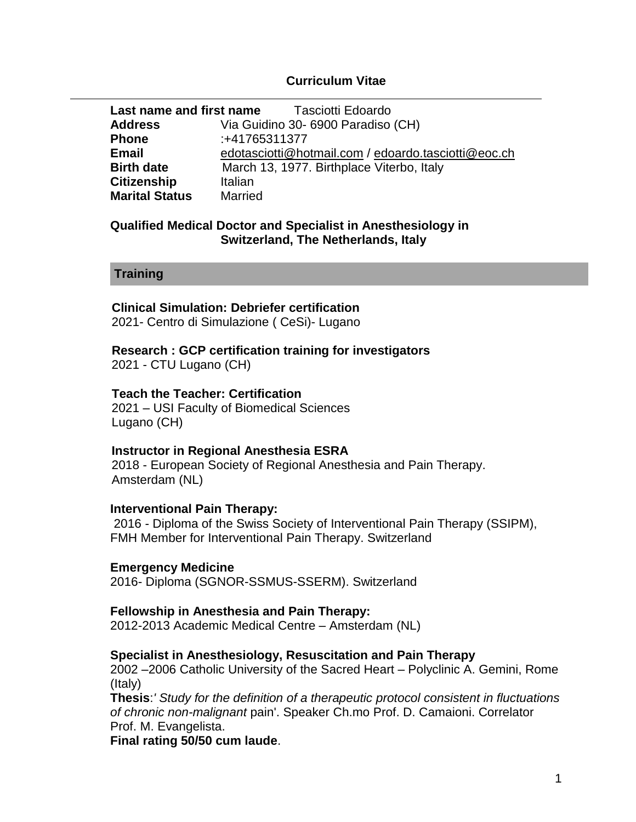### **Curriculum Vitae**

| Last name and first name<br>Tasciotti Edoardo |                                                     |
|-----------------------------------------------|-----------------------------------------------------|
| <b>Address</b>                                | Via Guidino 30-6900 Paradiso (CH)                   |
| <b>Phone</b>                                  | :+41765311377                                       |
| <b>Email</b>                                  | edotasciotti@hotmail.com / edoardo.tasciotti@eoc.ch |
| <b>Birth date</b>                             | March 13, 1977. Birthplace Viterbo, Italy           |
| <b>Citizenship</b>                            | Italian                                             |
| <b>Marital Status</b>                         | <b>Married</b>                                      |

#### **Qualified Medical Doctor and Specialist in Anesthesiology in Switzerland, The Netherlands, Italy**

### **Training**

## **Clinical Simulation: Debriefer certification**

2021- Centro di Simulazione ( CeSi)- Lugano

# **Research : GCP certification training for investigators**

2021 - CTU Lugano (CH)

## **Teach the Teacher: Certification**

2021 – USI Faculty of Biomedical Sciences Lugano (CH)

## **Instructor in Regional Anesthesia ESRA**

 2018 - European Society of Regional Anesthesia and Pain Therapy. Amsterdam (NL)

## **Interventional Pain Therapy:**

2016 - Diploma of the Swiss Society of Interventional Pain Therapy (SSIPM), FMH Member for Interventional Pain Therapy. Switzerland

## **Emergency Medicine**

2016- Diploma (SGNOR-SSMUS-SSERM). Switzerland

## **Fellowship in Anesthesia and Pain Therapy:**

2012-2013 Academic Medical Centre – Amsterdam (NL)

## **Specialist in Anesthesiology, Resuscitation and Pain Therapy**

2002 –2006 Catholic University of the Sacred Heart – Polyclinic A. Gemini, Rome (Italy)

**Thesis**:*' Study for the definition of a therapeutic protocol consistent in fluctuations of chronic non-malignant* pain'. Speaker Ch.mo Prof. D. Camaioni. Correlator Prof. M. Evangelista.

**Final rating 50/50 cum laude**.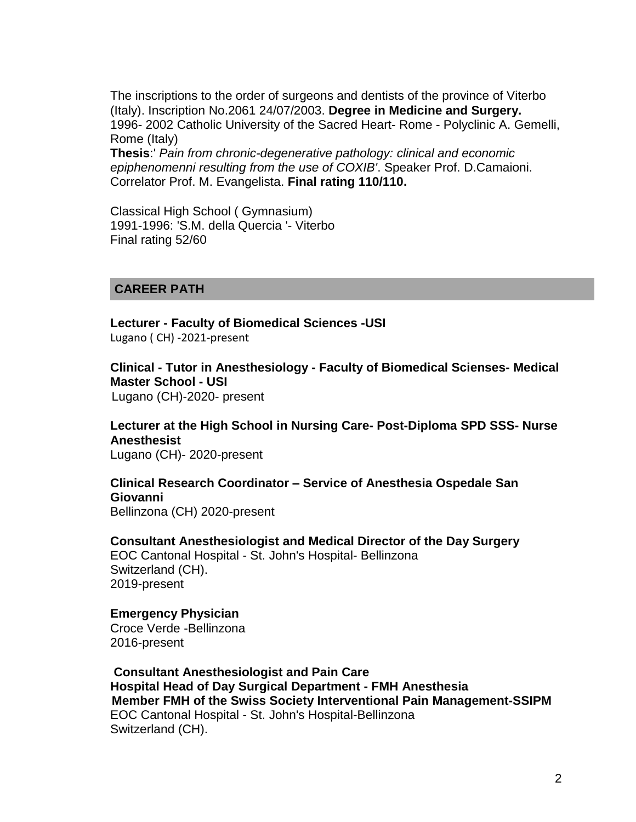The inscriptions to the order of surgeons and dentists of the province of Viterbo (Italy). Inscription No.2061 24/07/2003. **Degree in Medicine and Surgery.** 1996- 2002 Catholic University of the Sacred Heart- Rome - Polyclinic A. Gemelli, Rome (Italy)

**Thesis**:' *Pain from chronic-degenerative pathology: clinical and economic epiphenomenni resulting from the use of COXIB'*. Speaker Prof. D.Camaioni. Correlator Prof. M. Evangelista. **Final rating 110/110.**

Classical High School ( Gymnasium) 1991-1996: 'S.M. della Quercia '- Viterbo Final rating 52/60

#### **CAREER PATH**

 **Lecturer - Faculty of Biomedical Sciences -USI** Lugano ( CH) -2021-present

 **Clinical - Tutor in Anesthesiology - Faculty of Biomedical Scienses- Medical Master School - USI** Lugano (CH)-2020- present

**Lecturer at the High School in Nursing Care- Post-Diploma SPD SSS- Nurse Anesthesist**

Lugano (CH)- 2020-present

## **Clinical Research Coordinator – Service of Anesthesia Ospedale San Giovanni**

Bellinzona (CH) 2020-present

**Consultant Anesthesiologist and Medical Director of the Day Surgery**

EOC Cantonal Hospital - St. John's Hospital- Bellinzona Switzerland (CH). 2019-present

#### **Emergency Physician**

Croce Verde -Bellinzona 2016-present

**Consultant Anesthesiologist and Pain Care Hospital Head of Day Surgical Department - FMH Anesthesia Member FMH of the Swiss Society Interventional Pain Management-SSIPM** EOC Cantonal Hospital - St. John's Hospital-Bellinzona Switzerland (CH).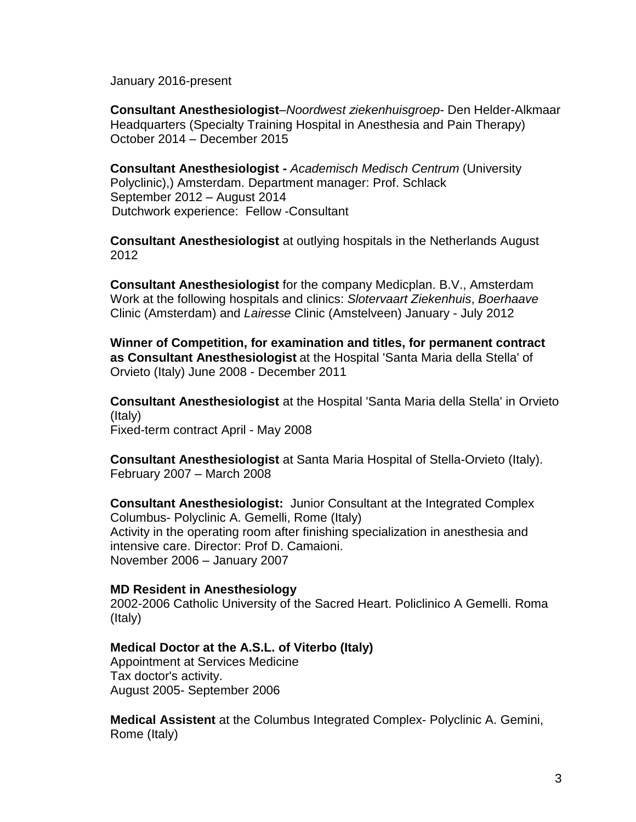January 2016-present

**Consultant Anesthesiologist**–*Noordwest ziekenhuisgroep*- Den Helder-Alkmaar Headquarters (Specialty Training Hospital in Anesthesia and Pain Therapy) October 2014 – December 2015

**Consultant Anesthesiologist -** *Academisch Medisch Centrum* (University Polyclinic),) Amsterdam. Department manager: Prof. Schlack September 2012 – August 2014 Dutchwork experience: Fellow -Consultant

**Consultant Anesthesiologist** at outlying hospitals in the Netherlands August 2012

**Consultant Anesthesiologist** for the company Medicplan. B.V., Amsterdam Work at the following hospitals and clinics: *Slotervaart Ziekenhuis*, *Boerhaave* Clinic (Amsterdam) and *Lairesse* Clinic (Amstelveen) January - July 2012

**Winner of Competition, for examination and titles, for permanent contract as Consultant Anesthesiologist** at the Hospital 'Santa Maria della Stella' of Orvieto (Italy) June 2008 - December 2011

**Consultant Anesthesiologist** at the Hospital 'Santa Maria della Stella' in Orvieto (Italy) Fixed-term contract April - May 2008

**Consultant Anesthesiologist** at Santa Maria Hospital of Stella-Orvieto (Italy). February 2007 – March 2008

**Consultant Anesthesiologist:** Junior Consultant at the Integrated Complex Columbus- Polyclinic A. Gemelli, Rome (Italy) Activity in the operating room after finishing specialization in anesthesia and intensive care. Director: Prof D. Camaioni. November 2006 – January 2007

## **MD Resident in Anesthesiology**

2002-2006 Catholic University of the Sacred Heart. Policlinico A Gemelli. Roma (Italy)

## **Medical Doctor at the A.S.L. of Viterbo (Italy)**

Appointment at Services Medicine Tax doctor's activity. August 2005- September 2006

**Medical Assistent** at the Columbus Integrated Complex- Polyclinic A. Gemini, Rome (Italy)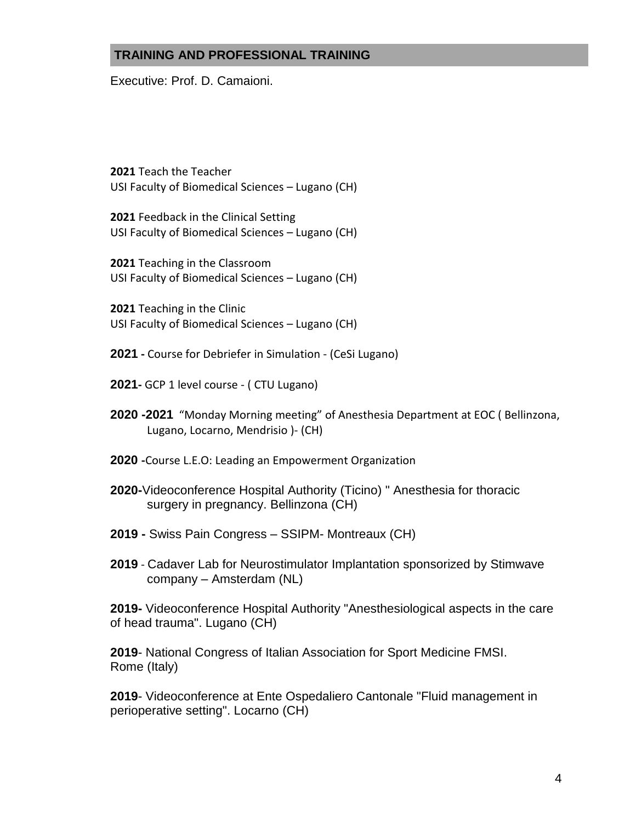## **TRAINING AND PROFESSIONAL TRAINING**

Executive: Prof. D. Camaioni.

**2021** Teach the Teacher USI Faculty of Biomedical Sciences – Lugano (CH)

**2021** Feedback in the Clinical Setting USI Faculty of Biomedical Sciences – Lugano (CH)

**2021** Teaching in the Classroom USI Faculty of Biomedical Sciences – Lugano (CH)

**2021** Teaching in the Clinic USI Faculty of Biomedical Sciences – Lugano (CH)

- **2021 -** Course for Debriefer in Simulation (CeSi Lugano)
- **2021-** GCP 1 level course ( CTU Lugano)
- **2020 -2021** "Monday Morning meeting" of Anesthesia Department at EOC ( Bellinzona, Lugano, Locarno, Mendrisio )- (CH)
- **2020 -**Course L.E.O: Leading an Empowerment Organization
- **2020-**Videoconference Hospital Authority (Ticino) " Anesthesia for thoracic surgery in pregnancy. Bellinzona (CH)
- **2019 -** Swiss Pain Congress SSIPM- Montreaux (CH)
- **2019** Cadaver Lab for Neurostimulator Implantation sponsorized by Stimwave company – Amsterdam (NL)

**2019-** Videoconference Hospital Authority "Anesthesiological aspects in the care of head trauma". Lugano (CH)

**2019**- National Congress of Italian Association for Sport Medicine FMSI. Rome (Italy)

**2019**- Videoconference at Ente Ospedaliero Cantonale "Fluid management in perioperative setting". Locarno (CH)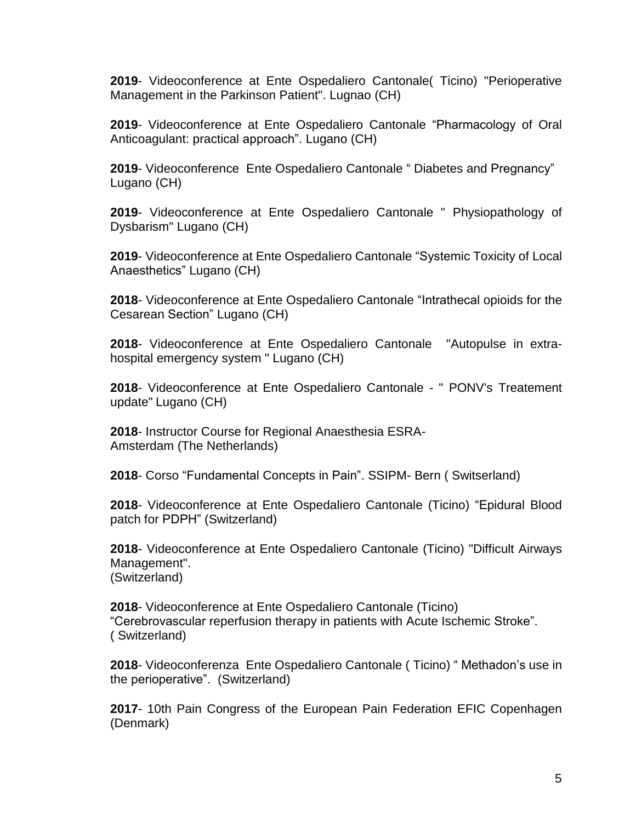**2019**- Videoconference at Ente Ospedaliero Cantonale( Ticino) "Perioperative Management in the Parkinson Patient". Lugnao (CH)

**2019**- Videoconference at Ente Ospedaliero Cantonale "Pharmacology of Oral Anticoagulant: practical approach". Lugano (CH)

**2019**- Videoconference Ente Ospedaliero Cantonale " Diabetes and Pregnancy" Lugano (CH)

**2019**- Videoconference at Ente Ospedaliero Cantonale " Physiopathology of Dysbarism" Lugano (CH)

**2019**- Videoconference at Ente Ospedaliero Cantonale "Systemic Toxicity of Local Anaesthetics" Lugano (CH)

**2018**- Videoconference at Ente Ospedaliero Cantonale "Intrathecal opioids for the Cesarean Section" Lugano (CH)

**2018**- Videoconference at Ente Ospedaliero Cantonale "Autopulse in extrahospital emergency system " Lugano (CH)

**2018**- Videoconference at Ente Ospedaliero Cantonale - " PONV's Treatement update" Lugano (CH)

**2018**- Instructor Course for Regional Anaesthesia ESRA-Amsterdam (The Netherlands)

**2018**- Corso "Fundamental Concepts in Pain". SSIPM- Bern ( Switserland)

**2018**- Videoconference at Ente Ospedaliero Cantonale (Ticino) "Epidural Blood patch for PDPH" (Switzerland)

**2018**- Videoconference at Ente Ospedaliero Cantonale (Ticino) "Difficult Airways Management". (Switzerland)

**2018**- Videoconference at Ente Ospedaliero Cantonale (Ticino) "Cerebrovascular reperfusion therapy in patients with Acute Ischemic Stroke". ( Switzerland)

**2018**- Videoconferenza Ente Ospedaliero Cantonale ( Ticino) " Methadon's use in the perioperative". (Switzerland)

**2017**- 10th Pain Congress of the European Pain Federation EFIC Copenhagen (Denmark)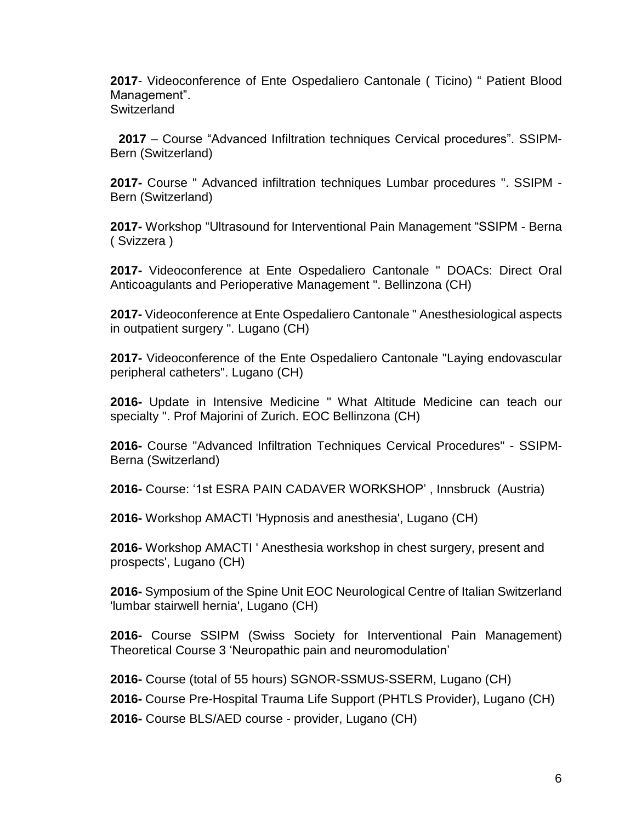**2017**- Videoconference of Ente Ospedaliero Cantonale ( Ticino) " Patient Blood Management". **Switzerland** 

 **2017** – Course "Advanced Infiltration techniques Cervical procedures". SSIPM-Bern (Switzerland)

**2017-** Course " Advanced infiltration techniques Lumbar procedures ". SSIPM - Bern (Switzerland)

**2017-** Workshop "Ultrasound for Interventional Pain Management "SSIPM - Berna ( Svizzera )

**2017-** Videoconference at Ente Ospedaliero Cantonale " DOACs: Direct Oral Anticoagulants and Perioperative Management ". Bellinzona (CH)

**2017-** Videoconference at Ente Ospedaliero Cantonale " Anesthesiological aspects in outpatient surgery ". Lugano (CH)

**2017-** Videoconference of the Ente Ospedaliero Cantonale "Laying endovascular peripheral catheters". Lugano (CH)

**2016-** Update in Intensive Medicine " What Altitude Medicine can teach our specialty ". Prof Majorini of Zurich. EOC Bellinzona (CH)

**2016-** Course "Advanced Infiltration Techniques Cervical Procedures" - SSIPM-Berna (Switzerland)

**2016-** Course: '1st ESRA PAIN CADAVER WORKSHOP' , Innsbruck (Austria)

**2016-** Workshop AMACTI 'Hypnosis and anesthesia', Lugano (CH)

**2016-** Workshop AMACTI ' Anesthesia workshop in chest surgery, present and prospects', Lugano (CH)

**2016-** Symposium of the Spine Unit EOC Neurological Centre of Italian Switzerland 'lumbar stairwell hernia', Lugano (CH)

**2016-** Course SSIPM (Swiss Society for Interventional Pain Management) Theoretical Course 3 'Neuropathic pain and neuromodulation'

**2016-** Course (total of 55 hours) SGNOR-SSMUS-SSERM, Lugano (CH) **2016-** Course Pre-Hospital Trauma Life Support (PHTLS Provider), Lugano (CH) **2016-** Course BLS/AED course - provider, Lugano (CH)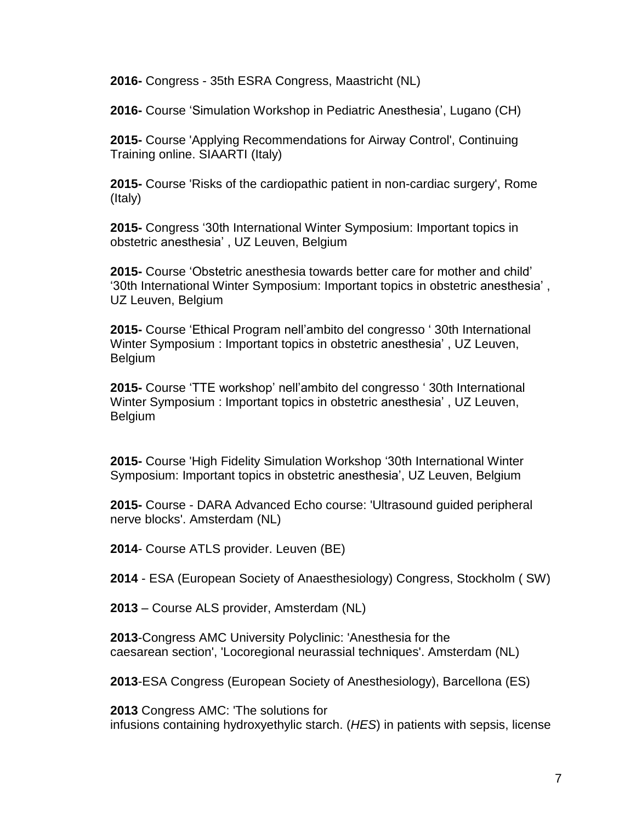**2016-** Congress - 35th ESRA Congress, Maastricht (NL)

**2016-** Course 'Simulation Workshop in Pediatric Anesthesia', Lugano (CH)

**2015-** Course 'Applying Recommendations for Airway Control', Continuing Training online. SIAARTI (Italy)

**2015-** Course 'Risks of the cardiopathic patient in non-cardiac surgery', Rome (Italy)

**2015-** Congress '30th International Winter Symposium: Important topics in obstetric anesthesia' , UZ Leuven, Belgium

**2015-** Course 'Obstetric anesthesia towards better care for mother and child' '30th International Winter Symposium: Important topics in obstetric anesthesia' , UZ Leuven, Belgium

**2015-** Course 'Ethical Program nell'ambito del congresso ' 30th International Winter Symposium : Important topics in obstetric anesthesia' , UZ Leuven, Belgium

**2015-** Course 'TTE workshop' nell'ambito del congresso ' 30th International Winter Symposium : Important topics in obstetric anesthesia' , UZ Leuven, Belgium

**2015-** Course 'High Fidelity Simulation Workshop '30th International Winter Symposium: Important topics in obstetric anesthesia', UZ Leuven, Belgium

**2015-** Course - DARA Advanced Echo course: 'Ultrasound guided peripheral nerve blocks'. Amsterdam (NL)

**2014**- Course ATLS provider. Leuven (BE)

**2014** - ESA (European Society of Anaesthesiology) Congress, Stockholm ( SW)

**2013** – Course ALS provider, Amsterdam (NL)

**2013**-Congress AMC University Polyclinic: 'Anesthesia for the caesarean section', 'Locoregional neurassial techniques'. Amsterdam (NL)

**2013**-ESA Congress (European Society of Anesthesiology), Barcellona (ES)

**2013** Congress AMC: 'The solutions for infusions containing hydroxyethylic starch. (*HES*) in patients with sepsis, license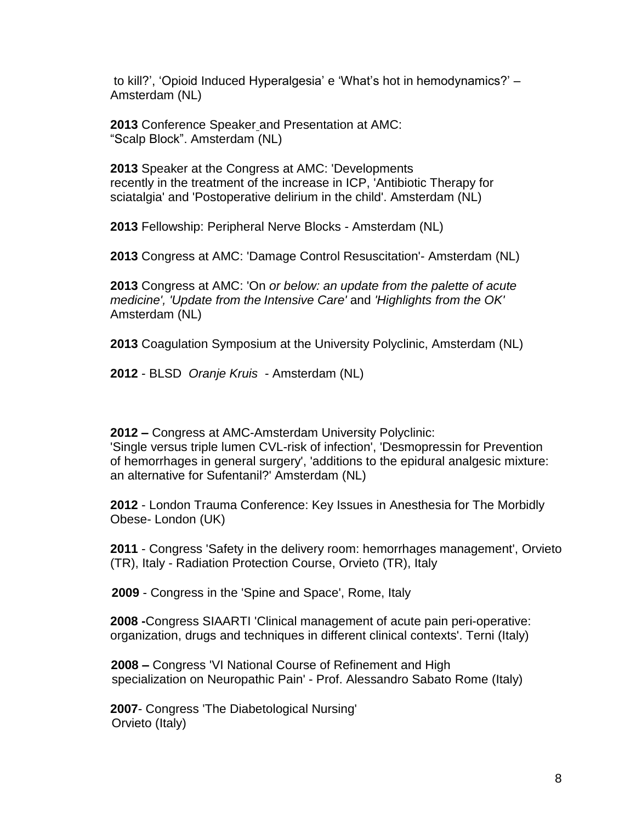to kill?', 'Opioid Induced Hyperalgesia' e 'What's hot in hemodynamics?' – Amsterdam (NL)

2013 Conference Speaker\_and Presentation at AMC: "Scalp Block". Amsterdam (NL)

**2013** Speaker at the Congress at AMC: 'Developments recently in the treatment of the increase in ICP, 'Antibiotic Therapy for sciatalgia' and 'Postoperative delirium in the child'. Amsterdam (NL)

**2013** Fellowship: Peripheral Nerve Blocks - Amsterdam (NL)

**2013** Congress at AMC: 'Damage Control Resuscitation'- Amsterdam (NL)

**2013** Congress at AMC: 'On *or below: an update from the palette of acute medicine', 'Update from the Intensive Care'* and *'Highlights from the OK'* Amsterdam (NL)

**2013** Coagulation Symposium at the University Polyclinic, Amsterdam (NL)

**2012** - BLSD *Oranje Kruis* - Amsterdam (NL)

**2012 –** Congress at AMC-Amsterdam University Polyclinic: 'Single versus triple lumen CVL-risk of infection', 'Desmopressin for Prevention of hemorrhages in general surgery', 'additions to the epidural analgesic mixture: an alternative for Sufentanil?' Amsterdam (NL)

**2012** - London Trauma Conference: Key Issues in Anesthesia for The Morbidly Obese- London (UK)

**2011** - Congress 'Safety in the delivery room: hemorrhages management', Orvieto (TR), Italy - Radiation Protection Course, Orvieto (TR), Italy

 **2009** - Congress in the 'Spine and Space', Rome, Italy

**2008 -**Congress SIAARTI 'Clinical management of acute pain peri-operative: organization, drugs and techniques in different clinical contexts'. Terni (Italy)

**2008 –** Congress 'VI National Course of Refinement and High specialization on Neuropathic Pain' - Prof. Alessandro Sabato Rome (Italy)

**2007**- Congress 'The Diabetological Nursing' Orvieto (Italy)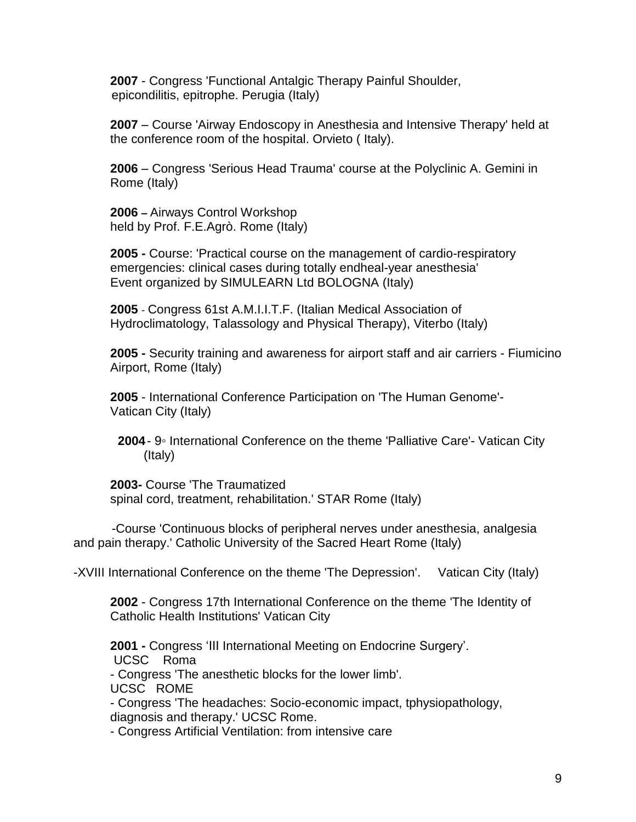**2007** - Congress 'Functional Antalgic Therapy Painful Shoulder, epicondilitis, epitrophe. Perugia (Italy)

**2007** – Course 'Airway Endoscopy in Anesthesia and Intensive Therapy' held at the conference room of the hospital. Orvieto ( Italy).

**2006** – Congress 'Serious Head Trauma' course at the Polyclinic A. Gemini in Rome (Italy)

**2006 –** Airways Control Workshop held by Prof. F.E.Agrò. Rome (Italy)

**2005 -** Course: 'Practical course on the management of cardio-respiratory emergencies: clinical cases during totally endheal-year anesthesia' Event organized by SIMULEARN Ltd BOLOGNA (Italy)

**2005** - Congress 61st A.M.I.I.T.F. (Italian Medical Association of Hydroclimatology, Talassology and Physical Therapy), Viterbo (Italy)

**2005 -** Security training and awareness for airport staff and air carriers - Fiumicino Airport, Rome (Italy)

**2005** - International Conference Participation on 'The Human Genome'- Vatican City (Italy)

**2004**- 9◦ International Conference on the theme 'Palliative Care'- Vatican City (Italy)

**2003-** Course 'The Traumatized spinal cord, treatment, rehabilitation.' STAR Rome (Italy)

 -Course 'Continuous blocks of peripheral nerves under anesthesia, analgesia and pain therapy.' Catholic University of the Sacred Heart Rome (Italy)

-XVIII International Conference on the theme 'The Depression'. Vatican City (Italy)

**2002** - Congress 17th International Conference on the theme 'The Identity of Catholic Health Institutions' Vatican City

**2001 -** Congress 'III International Meeting on Endocrine Surgery'.

UCSC Roma

- Congress 'The anesthetic blocks for the lower limb'.

UCSC ROME

- Congress 'The headaches: Socio-economic impact, tphysiopathology, diagnosis and therapy.' UCSC Rome.

- Congress Artificial Ventilation: from intensive care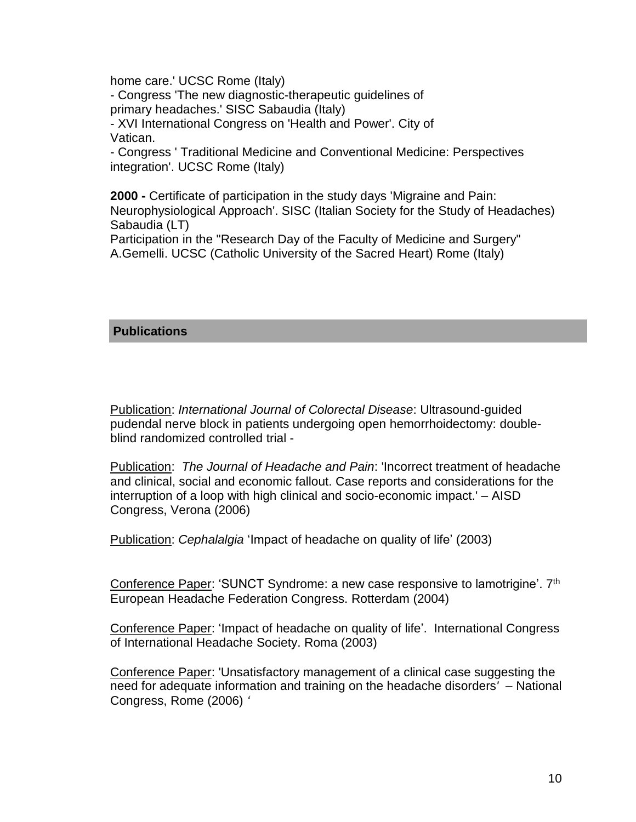home care.' UCSC Rome (Italy)

- Congress 'The new diagnostic-therapeutic guidelines of primary headaches.' SISC Sabaudia (Italy)

- XVI International Congress on 'Health and Power'. City of Vatican.

- Congress ' Traditional Medicine and Conventional Medicine: Perspectives integration'. UCSC Rome (Italy)

**2000 -** Certificate of participation in the study days 'Migraine and Pain: Neurophysiological Approach'. SISC (Italian Society for the Study of Headaches) Sabaudia (LT)

Participation in the "Research Day of the Faculty of Medicine and Surgery" A.Gemelli. UCSC (Catholic University of the Sacred Heart) Rome (Italy)

## **Publications**

Publication: *International Journal of Colorectal Disease*: Ultrasound-guided pudendal nerve block in patients undergoing open hemorrhoidectomy: doubleblind randomized controlled trial -

Publication: *The Journal of Headache and Pain*: 'Incorrect treatment of headache and clinical, social and economic fallout. Case reports and considerations for the interruption of a loop with high clinical and socio-economic impact.' – AISD Congress, Verona (2006)

Publication: *Cephalalgia* 'Impact of headache on quality of life' (2003)

Conference Paper: 'SUNCT Syndrome: a new case responsive to lamotrigine'. 7<sup>th</sup> European Headache Federation Congress. Rotterdam (2004)

Conference Paper: 'Impact of headache on quality of life'. International Congress of International Headache Society. Roma (2003)

Conference Paper: 'Unsatisfactory management of a clinical case suggesting the need for adequate information and training on the headache disorders*'* – National Congress, Rome (2006) *'*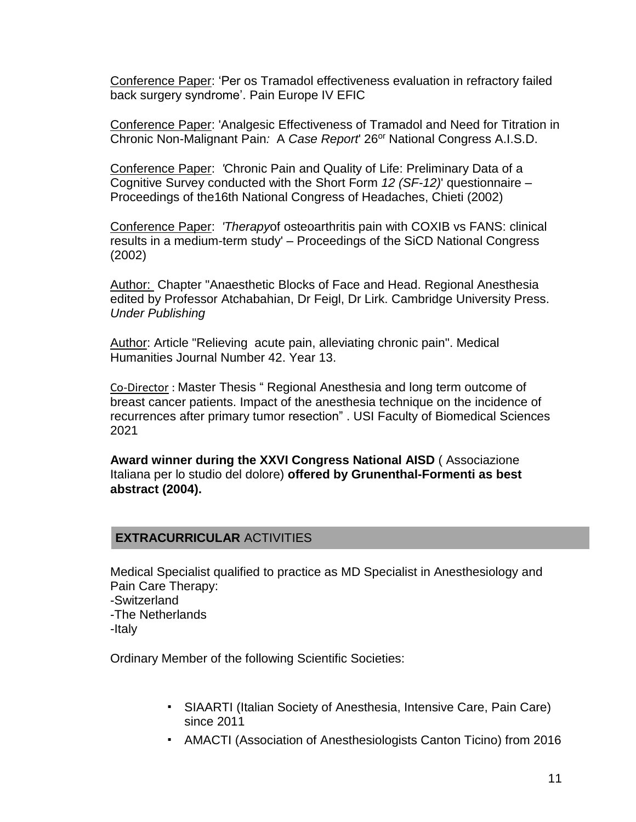Conference Paper: 'Per os Tramadol effectiveness evaluation in refractory failed back surgery syndrome'. Pain Europe IV EFIC

Conference Paper: 'Analgesic Effectiveness of Tramadol and Need for Titration in Chronic Non-Malignant Pain*:* A *Case Report*' 26or National Congress A.I.S.D.

Conference Paper: *'*Chronic Pain and Quality of Life: Preliminary Data of a Cognitive Survey conducted with the Short Form *12 (SF-12)*' questionnaire – Proceedings of the16th National Congress of Headaches, Chieti (2002)

Conference Paper: *'Therapy*of osteoarthritis pain with COXIB vs FANS: clinical results in a medium-term study' – Proceedings of the SiCD National Congress (2002)

Author: Chapter "Anaesthetic Blocks of Face and Head. Regional Anesthesia edited by Professor Atchabahian, Dr Feigl, Dr Lirk. Cambridge University Press. *Under Publishing*

Author: Article "Relieving acute pain, alleviating chronic pain". Medical Humanities Journal Number 42. Year 13.

Co-Director : Master Thesis " Regional Anesthesia and long term outcome of breast cancer patients. Impact of the anesthesia technique on the incidence of recurrences after primary tumor resection" . USI Faculty of Biomedical Sciences 2021

**Award winner during the XXVI Congress National AISD** ( Associazione Italiana per lo studio del dolore) **offered by Grunenthal-Formenti as best abstract (2004).**

## **EXTRACURRICULAR** ACTIVITIES

Medical Specialist qualified to practice as MD Specialist in Anesthesiology and Pain Care Therapy: -Switzerland -The Netherlands

-Italy

Ordinary Member of the following Scientific Societies:

- SIAARTI (Italian Society of Anesthesia, Intensive Care, Pain Care) since 2011
- AMACTI (Association of Anesthesiologists Canton Ticino) from 2016